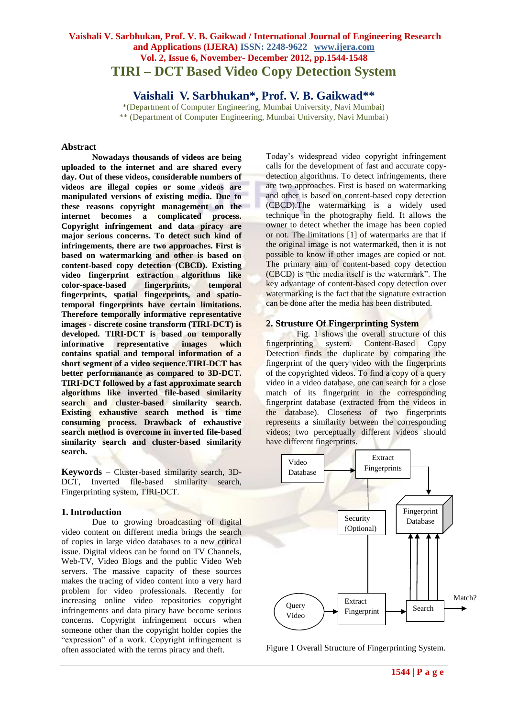# **Vaishali V. Sarbhukan, Prof. V. B. Gaikwad / International Journal of Engineering Research and Applications (IJERA) ISSN: 2248-9622 www.ijera.com Vol. 2, Issue 6, November- December 2012, pp.1544-1548 TIRI – DCT Based Video Copy Detection System**

**Vaishali V. Sarbhukan\*, Prof. V. B. Gaikwad\*\***

\*(Department of Computer Engineering, Mumbai University, Navi Mumbai) \*\* (Department of Computer Engineering, Mumbai University, Navi Mumbai)

## **Abstract**

**Nowadays thousands of videos are being uploaded to the internet and are shared every day. Out of these videos, considerable numbers of videos are illegal copies or some videos are manipulated versions of existing media. Due to these reasons copyright management on the**  becomes a complicated process. **Copyright infringement and data piracy are major serious concerns. To detect such kind of infringements, there are two approaches. First is based on watermarking and other is based on content-based copy detection (CBCD). Existing video fingerprint extraction algorithms like color-space-based fingerprints, temporal fingerprints, spatial fingerprints, and spatiotemporal fingerprints have certain limitations. Therefore temporally informative representative images - discrete cosine transform (TIRI-DCT) is developed. TIRI-DCT is based on temporally informative representative images which contains spatial and temporal information of a short segment of a video sequence.TIRI-DCT has better performanance as compared to 3D-DCT. TIRI-DCT followed by a fast approximate search algorithms like inverted file-based similarity search and cluster-based similarity search. Existing exhaustive search method is time consuming process. Drawback of exhaustive search method is overcome in inverted file-based similarity search and cluster-based similarity search.** 

**Keywords** – Cluster-based similarity search, 3D-DCT, Inverted file-based similarity search, Fingerprinting system, TIRI-DCT.

#### **1. Introduction**

Due to growing **broadcasting** of digital video content on different media brings the search of copies in large video databases to a new critical issue. Digital videos can be found on TV Channels, Web-TV, Video Blogs and the public Video Web servers. The massive capacity of these sources makes the tracing of video content into a very hard problem for video professionals. Recently for increasing online video repositories copyright infringements and data piracy have become serious concerns. Copyright infringement occurs when someone other than the copyright holder copies the "expression" of a work. Copyright infringement is often associated with the terms piracy and theft.

Today's widespread video copyright infringement calls for the development of fast and accurate copydetection algorithms. To detect infringements, there are two approaches. First is based on watermarking and other is based on content-based copy detection (CBCD).The watermarking is a widely used technique in the photography field. It allows the owner to detect whether the image has been copied or not. The limitations [1] of watermarks are that if the original image is not watermarked, then it is not possible to know if other images are copied or not. The primary aim of content-based copy detection (CBCD) is "the media itself is the watermark". The key advantage of content-based copy detection over watermarking is the fact that the signature extraction can be done after the media has been distributed.

### **2. Strusture Of Fingerprinting System**

Fig. 1 shows the overall structure of this fingerprinting system. Content-Based Copy Detection finds the duplicate by comparing the fingerprint of the query video with the fingerprints of the copyrighted videos. To find a copy of a query video in a video database, one can search for a close match of its fingerprint in the corresponding fingerprint database (extracted from the videos in the database). Closeness of two fingerprints represents a similarity between the corresponding videos; two perceptually different videos should have different fingerprints.



Figure 1 Overall Structure of Fingerprinting System.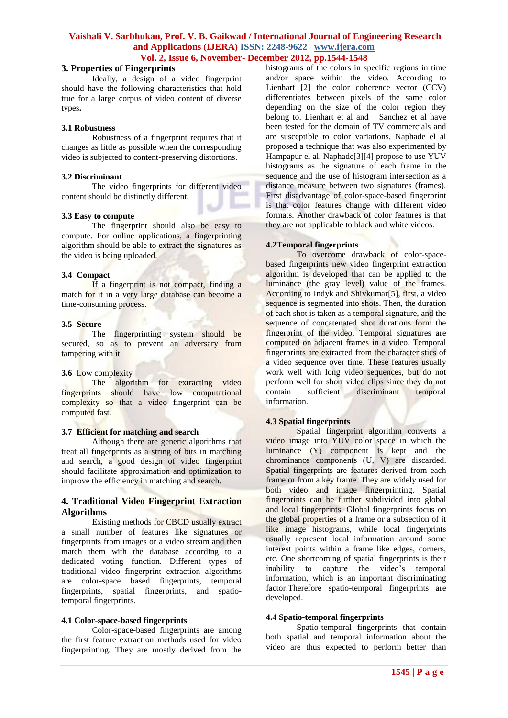#### **3. Properties of Fingerprints**

Ideally, a design of a video fingerprint should have the following characteristics that hold true for a large corpus of video content of diverse types**.**

#### **3.1 Robustness**

Robustness of a fingerprint requires that it changes as little as possible when the corresponding video is subjected to content-preserving distortions.

#### **3.2 Discriminant**

The video fingerprints for different video content should be distinctly different.

#### **3.3 Easy to compute**

The fingerprint should also be easy to compute. For online applications, a fingerprinting algorithm should be able to extract the signatures as the video is being uploaded.

#### **3.4 Compact**

If a fingerprint is not compact, finding a match for it in a very large database can become a time-consuming process.

#### **3.5 Secure**

The fingerprinting system should be secured, so as to prevent an adversary from tampering with it.

#### **3.6** Low complexity

The algorithm for extracting video fingerprints should have low computational complexity so that a video fingerprint can be computed fast.

## **3.7 Efficient for matching and search**

Although there are generic algorithms that treat all fingerprints as a string of bits in matching and search, a good design of video fingerprint should facilitate approximation and optimization to improve the efficiency in matching and search.

### **4. Traditional Video Fingerprint Extraction Algorithms**

Existing methods for CBCD usually extract a small number of features like signatures or fingerprints from images or a video stream and then match them with the database according to a dedicated voting function. Different types of traditional video fingerprint extraction algorithms are color-space based fingerprints, temporal fingerprints, spatial fingerprints, and spatiotemporal fingerprints.

#### **4.1 Color-space-based fingerprints**

Color-space-based fingerprints are among the first feature extraction methods used for video fingerprinting. They are mostly derived from the histograms of the colors in specific regions in time and/or space within the video. According to Lienhart [2] the color coherence vector (CCV) differentiates between pixels of the same color depending on the size of the color region they belong to. Lienhart et al and Sanchez et al have been tested for the domain of TV commercials and are susceptible to color variations. Naphade el al proposed a technique that was also experimented by Hampapur el al. Naphade[3][4] propose to use YUV histograms as the signature of each frame in the sequence and the use of histogram intersection as a distance measure between two signatures (frames). First disadvantage of color-space-based fingerprint is that color features change with different video formats. Another drawback of color features is that they are not applicable to black and white videos.

### **4.2Temporal fingerprints**

To overcome drawback of color-spacebased fingerprints new video fingerprint extraction algorithm is developed that can be applied to the luminance (the gray level) value of the frames. According to Indyk and Shivkumar[5], first, a video sequence is segmented into shots. Then, the duration of each shot is taken as a temporal signature, and the sequence of concatenated shot durations form the fingerprint of the video. Temporal signatures are computed on adjacent frames in a video. Temporal fingerprints are extracted from the characteristics of a video sequence over time. These features usually work well with long video sequences, but do not perform well for short video clips since they do not contain sufficient discriminant temporal information.

#### **4.3 Spatial fingerprints**

Spatial fingerprint algorithm converts a video image into YUV color space in which the luminance (Y) component is kept and the chrominance components (U, V) are discarded. Spatial fingerprints are features derived from each frame or from a key frame. They are widely used for both video and image fingerprinting. Spatial fingerprints can be further subdivided into global and local fingerprints. Global fingerprints focus on the global properties of a frame or a subsection of it like image histograms, while local fingerprints usually represent local information around some interest points within a frame like edges, corners, etc. One shortcoming of spatial fingerprints is their inability to capture the video's temporal information, which is an important discriminating factor.Therefore spatio-temporal fingerprints are developed.

#### **4.4 Spatio-temporal fingerprints**

Spatio-temporal fingerprints that contain both spatial and temporal information about the video are thus expected to perform better than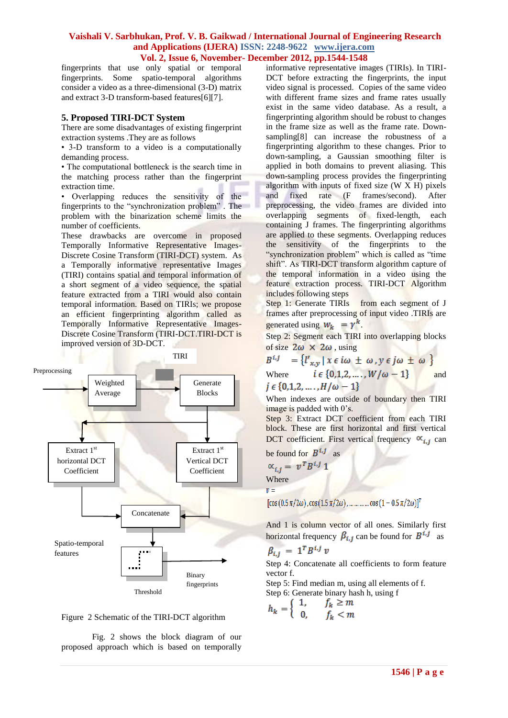fingerprints that use only spatial or temporal fingerprints. Some spatio-temporal algorithms consider a video as a three-dimensional (3-D) matrix and extract 3-D transform-based features[6][7].

### **5. Proposed TIRI-DCT System**

There are some disadvantages of existing fingerprint extraction systems .They are as follows

• 3-D transform to a video is a computationally demanding process.

• The computational bottleneck is the search time in the matching process rather than the fingerprint extraction time.

• Overlapping reduces the sensitivity of the fingerprints to the "synchronization problem" . The problem with the binarization scheme limits the number of coefficients.

These drawbacks are overcome in proposed Temporally Informative Representative Images-Discrete Cosine Transform (TIRI-DCT) system. As a Temporally informative representative Images (TIRI) contains spatial and temporal information of a short segment of a video sequence, the spatial feature extracted from a TIRI would also contain temporal information. Based on TIRIs; we propose an efficient fingerprinting algorithm called as Temporally Informative Representative Images-Discrete Cosine Transform (TIRI-DCT.TIRI-DCT is improved version of 3D-DCT.





Fig. 2 shows the block diagram of our proposed approach which is based on temporally

informative representative images (TIRIs). In TIRI-DCT before extracting the fingerprints, the input video signal is processed. Copies of the same video with different frame sizes and frame rates usually exist in the same video database. As a result, a fingerprinting algorithm should be robust to changes in the frame size as well as the frame rate. Downsampling[8] can increase the robustness of a fingerprinting algorithm to these changes. Prior to down-sampling, a Gaussian smoothing filter is applied in both domains to prevent aliasing. This down-sampling process provides the fingerprinting algorithm with inputs of fixed size (W X H) pixels and fixed rate (F frames/second). After preprocessing, the video frames are divided into overlapping segments of fixed-length, each containing J frames. The fingerprinting algorithms are applied to these segments. Overlapping reduces the sensitivity of the fingerprints to the "synchronization problem" which is called as "time shift". As TIRI-DCT transform algorithm capture of the temporal information in a video using the feature extraction process. TIRI-DCT Algorithm includes following steps

Step 1: Generate TIRIs from each segment of J frames after preprocessing of input video .TIRIs are generated using  $W_k = \gamma^k$ .

Step 2: Segment each TIRI into overlapping blocks of size  $2\omega \times 2\omega$ , using

 $B^{i,j} = \{l'_{x,y} | x \in i\omega \pm \omega, y \in j\omega \pm \omega \}$ <br>Where  $i \in \{0,1,2,...,W/\omega - 1\}$  and

$$
j\in\{0,1,2,\ldots,H/\omega-1\}
$$

When indexes are outside of boundary then TIRI image is padded with 0's.

Step 3: Extract DCT coefficient from each TIRI block. These are first horizontal and first vertical DCT coefficient. First vertical frequency  $\alpha_{i,j}$  can

be found for 
$$
B^{i,j}
$$
 as

$$
\propto_{i,j} = v^T B^{i,j} 1
$$
  
Where

 $v =$ 

 $[\cos (0.5 \pi/2\omega), \cos (1.5 \pi/2\omega), \dots \dots \dots \cos (1 - 0.5 \pi/2\omega)]^T$ 

And 1 is column vector of all ones. Similarly first horizontal frequency  $\beta_{i,j}$  can be found for  $B^{i,j}$  as

$$
\beta_{i,j} = 1^{i} B^{i,j} v
$$

Step 4: Concatenate all coefficients to form feature vector f.

Step 5: Find median m, using all elements of f.

Step 6: Generate binary hash h, using f

$$
h_k = \left\{ \begin{array}{ll} 1, & j_k < m \\ 0, & f_k < m \end{array} \right.
$$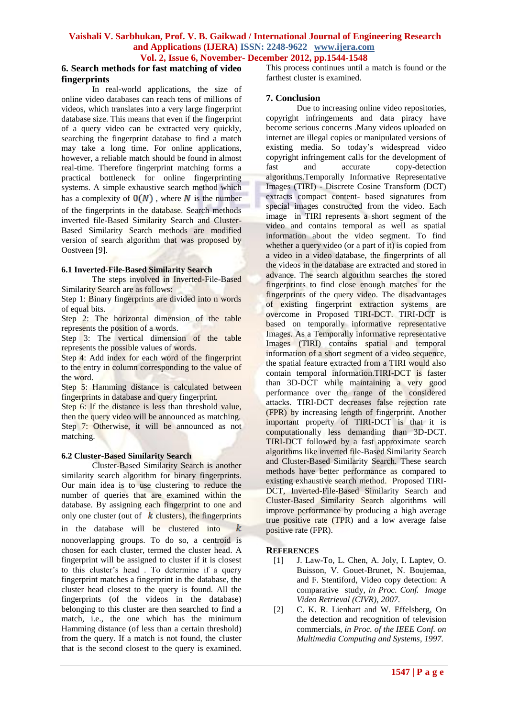### **6. Search methods for fast matching of video fingerprints**

In real-world applications, the size of online video databases can reach tens of millions of videos, which translates into a very large fingerprint database size. This means that even if the fingerprint of a query video can be extracted very quickly, searching the fingerprint database to find a match may take a long time. For online applications, however, a reliable match should be found in almost real-time. Therefore fingerprint matching forms a practical bottleneck for online fingerprinting systems. A simple exhaustive search method which has a complexity of  $O(N)$ , where N is the number of the fingerprints in the database. Search methods inverted file-Based Similarity Search and Cluster-Based Similarity Search methods are modified version of search algorithm that was proposed by Oostveen [9].

#### **6.1 Inverted-File-Based Similarity Search**

The steps involved in Inverted-File-Based Similarity Search are as follows:

Step 1: Binary fingerprints are divided into n words of equal bits.

Step 2: The horizontal dimension of the table represents the position of a words.

Step 3: The vertical dimension of the table represents the possible values of words.

Step 4: Add index for each word of the fingerprint to the entry in column corresponding to the value of the word.

Step 5: Hamming distance is calculated between fingerprints in database and query fingerprint.

Step 6: If the distance is less than threshold value, then the query video will be announced as matching. Step 7: Otherwise, it will be announced as not matching.

#### **6.2 Cluster-Based Similarity Search**

Cluster-Based Similarity Search is another similarity search algorithm for binary fingerprints. Our main idea is to use clustering to reduce the number of queries that are examined within the database. By assigning each fingerprint to one and only one cluster (out of  $k$  clusters), the fingerprints k in the database will be clustered into nonoverlapping groups. To do so, a centroid is chosen for each cluster, termed the cluster head. A fingerprint will be assigned to cluster if it is closest to this cluster's head . To determine if a query fingerprint matches a fingerprint in the database, the cluster head closest to the query is found. All the fingerprints (of the videos in the database) belonging to this cluster are then searched to find a match, i.e., the one which has the minimum Hamming distance (of less than a certain threshold) from the query. If a match is not found, the cluster that is the second closest to the query is examined.

This process continues until a match is found or the farthest cluster is examined.

## **7. Conclusion**

Due to increasing online video repositories, copyright infringements and data piracy have become serious concerns .Many videos uploaded on internet are illegal copies or manipulated versions of existing media. So today's widespread video copyright infringement calls for the development of fast and accurate copy-detection algorithms.Temporally Informative Representative Images (TIRI) - Discrete Cosine Transform (DCT) extracts compact content- based signatures from special images constructed from the video. Each image in TIRI represents a short segment of the video and contains temporal as well as spatial information about the video segment. To find whether a query video (or a part of it) is copied from a video in a video database, the fingerprints of all the videos in the database are extracted and stored in advance. The search algorithm searches the stored fingerprints to find close enough matches for the fingerprints of the query video. The disadvantages of existing fingerprint extraction systems are overcome in Proposed TIRI-DCT. TIRI-DCT is based on temporally informative representative Images. As a Temporally informative representative Images (TIRI) contains spatial and temporal information of a short segment of a video sequence, the spatial feature extracted from a TIRI would also contain temporal information.TIRI-DCT is faster than 3D-DCT while maintaining a very good performance over the range of the considered attacks. TIRI-DCT decreases false rejection rate (FPR) by increasing length of fingerprint. Another important property of TIRI-DCT is that it is computationally less demanding than 3D-DCT. TIRI-DCT followed by a fast approximate search algorithms like inverted file-Based Similarity Search and Cluster-Based Similarity Search. These search methods have better performance as compared to existing exhaustive search method. Proposed TIRI-DCT, Inverted-File-Based Similarity Search and Cluster-Based Similarity Search algorithms will improve performance by producing a high average true positive rate (TPR) and a low average false positive rate (FPR).

## **REFERENCES**

- [1] J. Law-To, L. Chen, A. Joly, I. Laptev, O. Buisson, V. Gouet-Brunet, N. Boujemaa, and F. Stentiford, Video copy detection: A comparative study, *in Proc. Conf. Image Video Retrieval (CIVR), 2007.*
- [2] C. K. R. Lienhart and W. Effelsberg, On the detection and recognition of television commercials, *in Proc. of the IEEE Conf. on Multimedia Computing and Systems, 1997.*